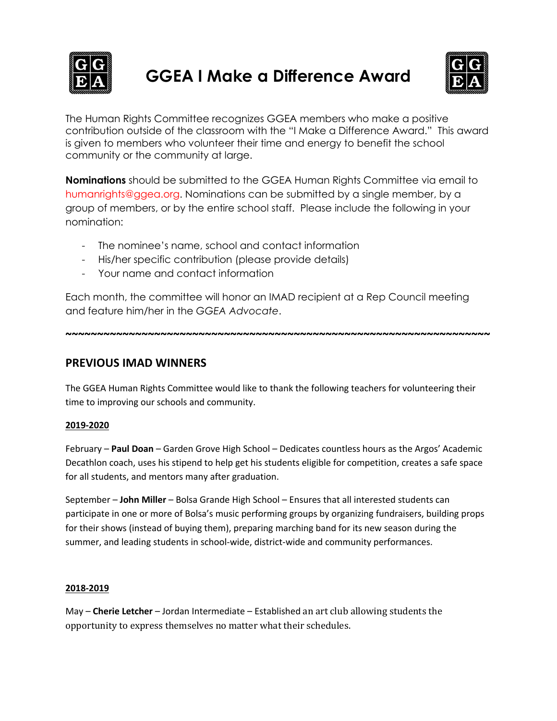

# **GGEA I Make a Difference Award**



The Human Rights Committee recognizes GGEA members who make a positive contribution outside of the classroom with the "I Make a Difference Award." This award is given to members who volunteer their time and energy to benefit the school community or the community at large.

**Nominations** should be submitted to the GGEA Human Rights Committee via email to humanrights@ggea.org. Nominations can be submitted by a single member, by a group of members, or by the entire school staff. Please include the following in your nomination:

- The nominee's name, school and contact information
- His/her specific contribution (please provide details)
- Your name and contact information

Each month, the committee will honor an IMAD recipient at a Rep Council meeting and feature him/her in the *GGEA Advocate*.

**~~~~~~~~~~~~~~~~~~~~~~~~~~~~~~~~~~~~~~~~~~~~~~~~~~~~~~~~~~~~~~~~~~~**

**PREVIOUS IMAD WINNERS** 

The GGEA Human Rights Committee would like to thank the following teachers for volunteering their time to improving our schools and community.

# **2019-2020**

February – **Paul Doan** – Garden Grove High School – Dedicates countless hours as the Argos' Academic Decathlon coach, uses his stipend to help get his students eligible for competition, creates a safe space for all students, and mentors many after graduation.

September – **John Miller** – Bolsa Grande High School – Ensures that all interested students can participate in one or more of Bolsa's music performing groups by organizing fundraisers, building props for their shows (instead of buying them), preparing marching band for its new season during the summer, and leading students in school-wide, district-wide and community performances.

## **2018-2019**

May – **Cherie Letcher** – Jordan Intermediate – Established an art club allowing students the opportunity to express themselves no matter what their schedules.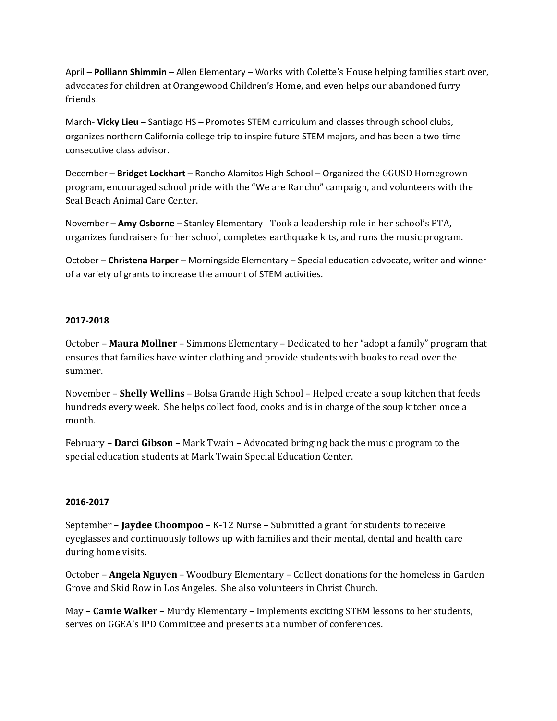April – **Polliann Shimmin** – Allen Elementary – Works with Colette's House helping families start over, advocates for children at Orangewood Children's Home, and even helps our abandoned furry friends!

March- **Vicky Lieu –** Santiago HS – Promotes STEM curriculum and classes through school clubs, organizes northern California college trip to inspire future STEM majors, and has been a two-time consecutive class advisor.

December – Bridget Lockhart – Rancho Alamitos High School – Organized the GGUSD Homegrown program, encouraged school pride with the "We are Rancho" campaign, and volunteers with the Seal Beach Animal Care Center.

November – **Amy Osborne** – Stanley Elementary - Took a leadership role in her school's PTA, organizes fundraisers for her school, completes earthquake kits, and runs the music program.

October – **Christena Harper** – Morningside Elementary – Special education advocate, writer and winner of a variety of grants to increase the amount of STEM activities.

## **2017-2018**

October – **Maura Mollner** – Simmons Elementary – Dedicated to her "adopt a family" program that ensures that families have winter clothing and provide students with books to read over the summer. 

November – **Shelly Wellins** – Bolsa Grande High School – Helped create a soup kitchen that feeds hundreds every week. She helps collect food, cooks and is in charge of the soup kitchen once a month. 

February – **Darci Gibson** – Mark Twain – Advocated bringing back the music program to the special education students at Mark Twain Special Education Center.

## **2016-2017**

September - **Jaydee Choompoo** - K-12 Nurse - Submitted a grant for students to receive eyeglasses and continuously follows up with families and their mental, dental and health care during home visits.

October – **Angela Nguyen** – Woodbury Elementary – Collect donations for the homeless in Garden Grove and Skid Row in Los Angeles. She also volunteers in Christ Church.

May - Camie Walker - Murdy Elementary - Implements exciting STEM lessons to her students, serves on GGEA's IPD Committee and presents at a number of conferences.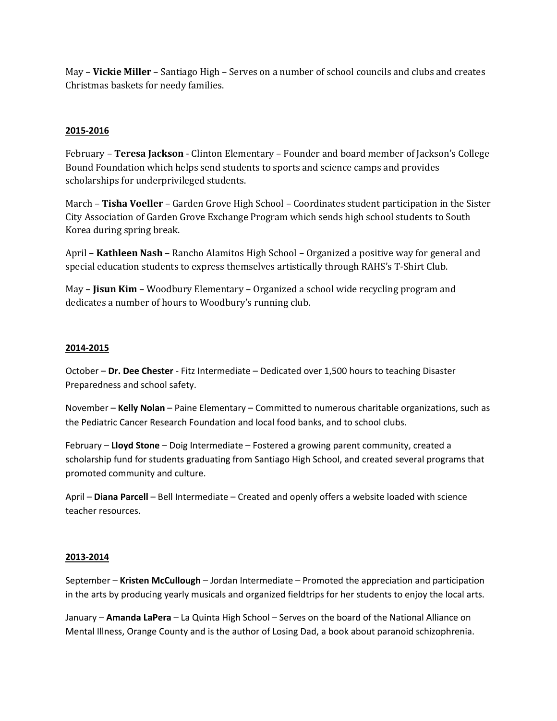May – **Vickie Miller** – Santiago High – Serves on a number of school councils and clubs and creates Christmas baskets for needy families.

## **2015-2016**

February – **Teresa Jackson** - Clinton Elementary – Founder and board member of Jackson's College Bound Foundation which helps send students to sports and science camps and provides scholarships for underprivileged students.

March – **Tisha Voeller** – Garden Grove High School – Coordinates student participation in the Sister City Association of Garden Grove Exchange Program which sends high school students to South Korea during spring break.

April – **Kathleen Nash** – Rancho Alamitos High School – Organized a positive way for general and special education students to express themselves artistically through RAHS's T-Shirt Club.

May – **Jisun Kim** – Woodbury Elementary – Organized a school wide recycling program and dedicates a number of hours to Woodbury's running club.

## **2014-2015**

October – **Dr. Dee Chester** - Fitz Intermediate – Dedicated over 1,500 hours to teaching Disaster Preparedness and school safety.

November – **Kelly Nolan** – Paine Elementary – Committed to numerous charitable organizations, such as the Pediatric Cancer Research Foundation and local food banks, and to school clubs.

February – **Lloyd Stone** – Doig Intermediate – Fostered a growing parent community, created a scholarship fund for students graduating from Santiago High School, and created several programs that promoted community and culture.

April – **Diana Parcell** – Bell Intermediate – Created and openly offers a website loaded with science teacher resources.

## **2013-2014**

September – **Kristen McCullough** – Jordan Intermediate – Promoted the appreciation and participation in the arts by producing yearly musicals and organized fieldtrips for her students to enjoy the local arts.

January – **Amanda LaPera** – La Quinta High School – Serves on the board of the National Alliance on Mental Illness, Orange County and is the author of Losing Dad, a book about paranoid schizophrenia.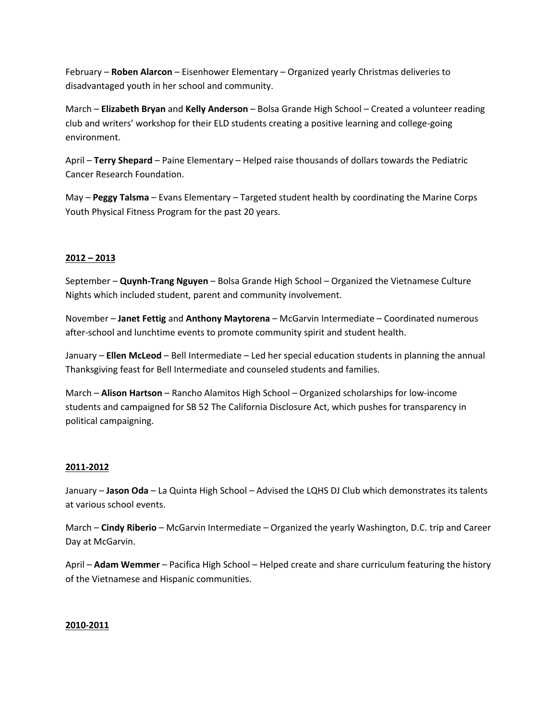February – **Roben Alarcon** – Eisenhower Elementary – Organized yearly Christmas deliveries to disadvantaged youth in her school and community.

March – **Elizabeth Bryan** and **Kelly Anderson** – Bolsa Grande High School – Created a volunteer reading club and writers' workshop for their ELD students creating a positive learning and college-going environment.

April – **Terry Shepard** – Paine Elementary – Helped raise thousands of dollars towards the Pediatric Cancer Research Foundation.

May – **Peggy Talsma** – Evans Elementary – Targeted student health by coordinating the Marine Corps Youth Physical Fitness Program for the past 20 years.

## **2012 – 2013**

September – **Quynh-Trang Nguyen** – Bolsa Grande High School – Organized the Vietnamese Culture Nights which included student, parent and community involvement.

November – **Janet Fettig** and **Anthony Maytorena** – McGarvin Intermediate – Coordinated numerous after-school and lunchtime events to promote community spirit and student health.

January – **Ellen McLeod** – Bell Intermediate – Led her special education students in planning the annual Thanksgiving feast for Bell Intermediate and counseled students and families.

March – **Alison Hartson** – Rancho Alamitos High School – Organized scholarships for low-income students and campaigned for SB 52 The California Disclosure Act, which pushes for transparency in political campaigning.

## **2011-2012**

January – **Jason Oda** – La Quinta High School – Advised the LQHS DJ Club which demonstrates its talents at various school events.

March – **Cindy Riberio** – McGarvin Intermediate – Organized the yearly Washington, D.C. trip and Career Day at McGarvin.

April – **Adam Wemmer** – Pacifica High School – Helped create and share curriculum featuring the history of the Vietnamese and Hispanic communities.

## **2010-2011**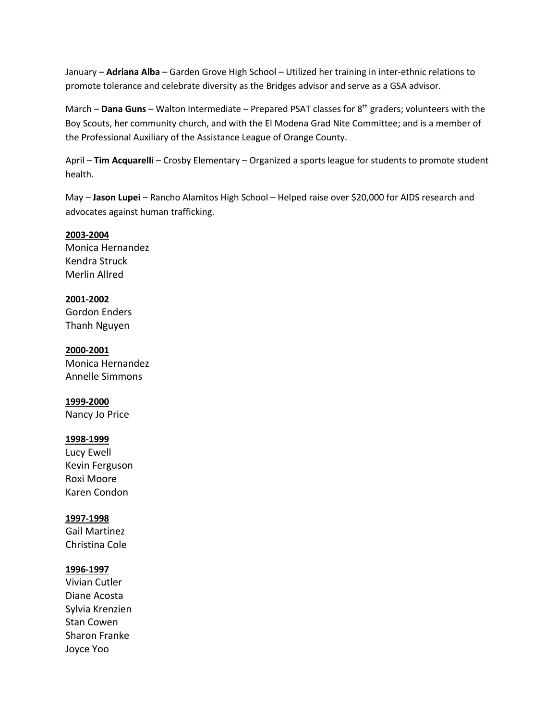January – **Adriana Alba** – Garden Grove High School – Utilized her training in inter-ethnic relations to promote tolerance and celebrate diversity as the Bridges advisor and serve as a GSA advisor.

March – **Dana Guns** – Walton Intermediate – Prepared PSAT classes for 8<sup>th</sup> graders; volunteers with the Boy Scouts, her community church, and with the El Modena Grad Nite Committee; and is a member of the Professional Auxiliary of the Assistance League of Orange County.

April – **Tim Acquarelli** – Crosby Elementary – Organized a sports league for students to promote student health.

May – **Jason Lupei** – Rancho Alamitos High School – Helped raise over \$20,000 for AIDS research and advocates against human trafficking.

## **2003-2004**

Monica Hernandez Kendra Struck Merlin Allred

## **2001-2002** Gordon Enders Thanh Nguyen

**2000-2001** Monica Hernandez Annelle Simmons

# **1999-2000**

Nancy Jo Price

## **1998-1999**

Lucy Ewell Kevin Ferguson Roxi Moore Karen Condon

# **1997-1998**

Gail Martinez Christina Cole

# **1996-1997**

Vivian Cutler Diane Acosta Sylvia Krenzien Stan Cowen Sharon Franke Joyce Yoo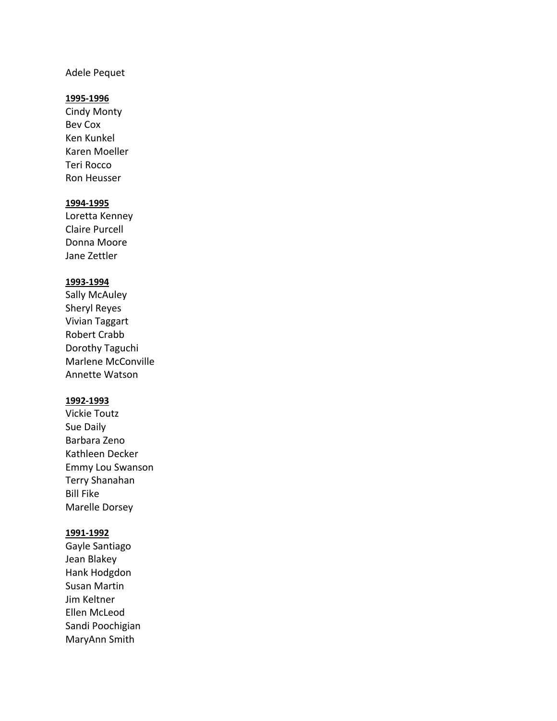## Adele Pequet

#### **1995-1996**

Cindy Monty Bev Cox Ken Kunkel Karen Moeller Teri Rocco Ron Heusser

## **1994-1995**

Loretta Kenney Claire Purcell Donna Moore Jane Zettler

## **1993-1994**

Sally McAuley Sheryl Reyes Vivian Taggart Robert Crabb Dorothy Taguchi Marlene McConville Annette Watson

## **1992-1993**

Vickie Toutz Sue Daily Barbara Zeno Kathleen Decker Emmy Lou Swanson Terry Shanahan Bill Fike Marelle Dorsey

#### **1991-1992**

Gayle Santiago Jean Blakey Hank Hodgdon Susan Martin Jim Keltner Ellen McLeod Sandi Poochigian MaryAnn Smith